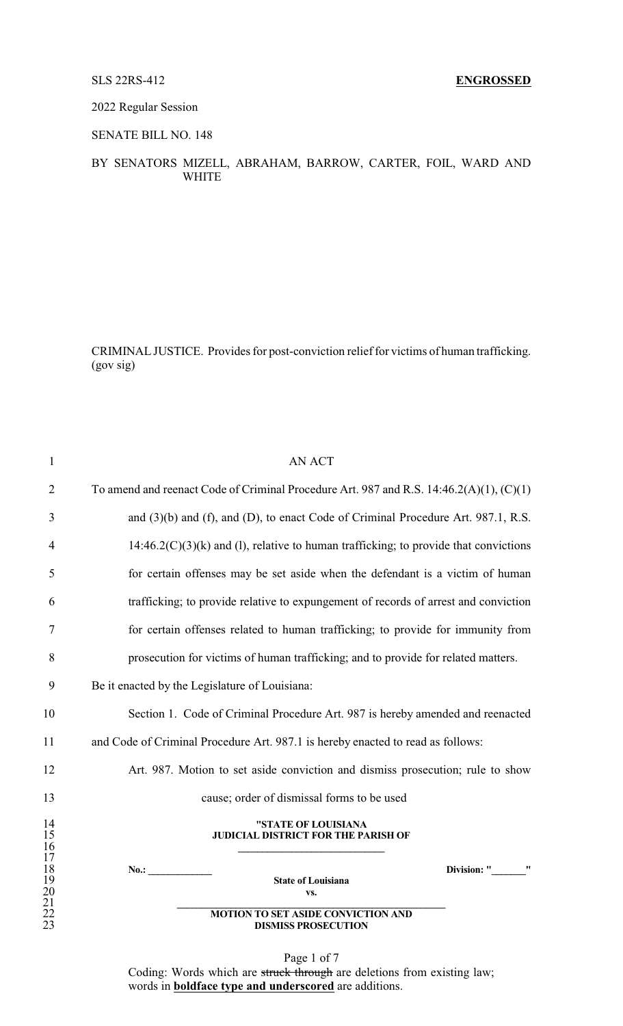2022 Regular Session

SENATE BILL NO. 148

### BY SENATORS MIZELL, ABRAHAM, BARROW, CARTER, FOIL, WARD AND WHITE

CRIMINALJUSTICE. Provides for post-conviction relief for victims of human trafficking. (gov sig)

| $\mathbf{1}$                                 | <b>AN ACT</b>                                                                           |
|----------------------------------------------|-----------------------------------------------------------------------------------------|
| $\overline{2}$                               | To amend and reenact Code of Criminal Procedure Art. 987 and R.S. 14:46.2(A)(1), (C)(1) |
| 3                                            | and (3)(b) and (f), and (D), to enact Code of Criminal Procedure Art. 987.1, R.S.       |
| $\overline{4}$                               | $14:46.2(C)(3)(k)$ and (1), relative to human trafficking; to provide that convictions  |
| 5                                            | for certain offenses may be set aside when the defendant is a victim of human           |
| 6                                            | trafficking; to provide relative to expungement of records of arrest and conviction     |
| 7                                            | for certain offenses related to human trafficking; to provide for immunity from         |
| 8                                            | prosecution for victims of human trafficking; and to provide for related matters.       |
| 9                                            | Be it enacted by the Legislature of Louisiana:                                          |
| 10                                           | Section 1. Code of Criminal Procedure Art. 987 is hereby amended and reenacted          |
| 11                                           | and Code of Criminal Procedure Art. 987.1 is hereby enacted to read as follows:         |
| 12                                           | Art. 987. Motion to set aside conviction and dismiss prosecution; rule to show          |
| 13                                           | cause; order of dismissal forms to be used                                              |
| 14<br>15<br>16                               | "STATE OF LOUISIANA<br><b>JUDICIAL DISTRICT FOR THE PARISH OF</b>                       |
| 17<br>18<br>19<br>20<br>21<br>22<br>22<br>23 | Division: "<br>No.:<br><b>State of Louisiana</b><br>VS.                                 |
|                                              | <b>MOTION TO SET ASIDE CONVICTION AND</b><br><b>DISMISS PROSECUTION</b>                 |

Page 1 of 7 Coding: Words which are struck through are deletions from existing law; words in **boldface type and underscored** are additions.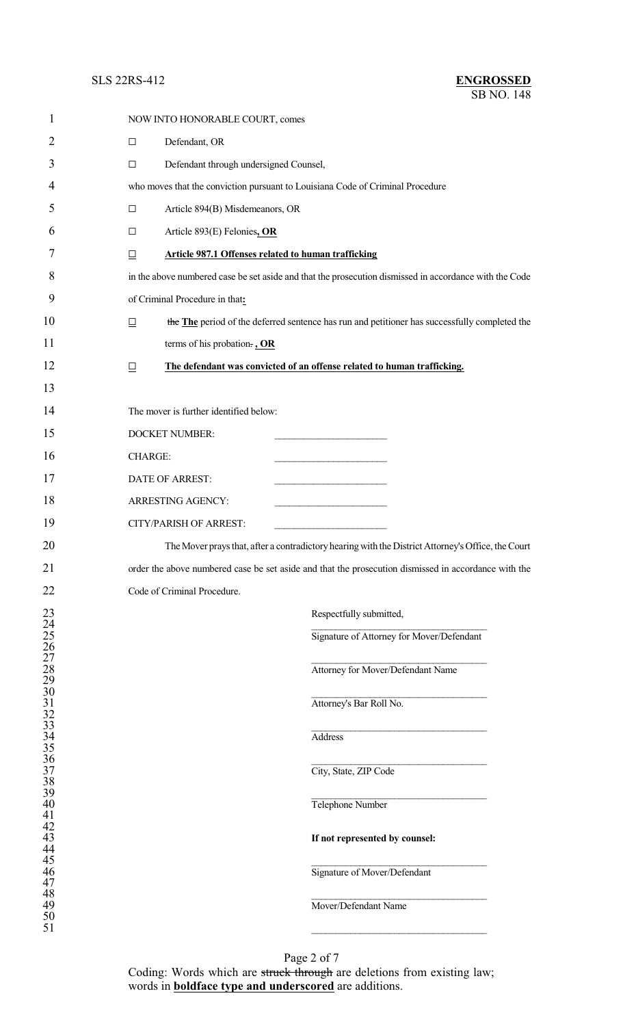## **SLS 22RS-412**

| <b>ENGROSSED</b> |  |
|------------------|--|
| SB NO. 148       |  |

| 1                                                    |                | NOW INTO HONORABLE COURT, comes                            |                                                                                                        |
|------------------------------------------------------|----------------|------------------------------------------------------------|--------------------------------------------------------------------------------------------------------|
| 2                                                    | $\Box$         | Defendant, OR                                              |                                                                                                        |
| 3                                                    | $\Box$         | Defendant through undersigned Counsel,                     |                                                                                                        |
| $\overline{4}$                                       |                |                                                            | who moves that the conviction pursuant to Louisiana Code of Criminal Procedure                         |
| 5                                                    | $\Box$         | Article 894(B) Misdemeanors, OR                            |                                                                                                        |
| 6                                                    | $\Box$         | Article 893(E) Felonies, OR                                |                                                                                                        |
| 7                                                    | $\Box$         | <b>Article 987.1 Offenses related to human trafficking</b> |                                                                                                        |
| 8                                                    |                |                                                            | in the above numbered case be set aside and that the prosecution dismissed in accordance with the Code |
| 9                                                    |                | of Criminal Procedure in that:                             |                                                                                                        |
| 10                                                   | $\Box$         |                                                            | the The period of the deferred sentence has run and petitioner has successfully completed the          |
| 11                                                   |                | terms of his probation., OR                                |                                                                                                        |
| 12                                                   | $\Box$         |                                                            | The defendant was convicted of an offense related to human trafficking.                                |
| 13                                                   |                |                                                            |                                                                                                        |
| 14                                                   |                | The mover is further identified below:                     |                                                                                                        |
| 15                                                   |                | <b>DOCKET NUMBER:</b>                                      |                                                                                                        |
| 16                                                   | <b>CHARGE:</b> |                                                            |                                                                                                        |
| 17                                                   |                | DATE OF ARREST:                                            |                                                                                                        |
| 18                                                   |                | ARRESTING AGENCY:                                          | the control of the control of the control of                                                           |
| 19                                                   |                | <b>CITY/PARISH OF ARREST:</b>                              |                                                                                                        |
| 20                                                   |                |                                                            | The Mover prays that, after a contradictory hearing with the District Attorney's Office, the Court     |
| 21                                                   |                |                                                            | order the above numbered case be set aside and that the prosecution dismissed in accordance with the   |
| 22                                                   |                | Code of Criminal Procedure.                                |                                                                                                        |
| 23<br>24                                             |                |                                                            | Respectfully submitted,                                                                                |
| $\frac{25}{26}$<br>26<br>27                          |                |                                                            | Signature of Attorney for Mover/Defendant                                                              |
| $28\,$                                               |                |                                                            | Attorney for Mover/Defendant Name                                                                      |
| 29                                                   |                |                                                            |                                                                                                        |
| $30$<br>$31$<br>$32$<br>$33$<br>$34$<br>$35$<br>$36$ |                |                                                            | Attorney's Bar Roll No.                                                                                |
|                                                      |                |                                                            | <b>Address</b>                                                                                         |
|                                                      |                |                                                            |                                                                                                        |
| $37\,$<br>38                                         |                |                                                            | City, State, ZIP Code                                                                                  |
| 39<br>40                                             |                |                                                            | Telephone Number                                                                                       |
| 41<br>42                                             |                |                                                            |                                                                                                        |
| 43<br>44                                             |                |                                                            | If not represented by counsel:                                                                         |
| 45<br>46                                             |                |                                                            | Signature of Mover/Defendant                                                                           |
| 47<br>48                                             |                |                                                            |                                                                                                        |
| 49<br>50                                             |                |                                                            | Mover/Defendant Name                                                                                   |
| 51                                                   |                |                                                            |                                                                                                        |

Page 2 of 7 Coding: Words which are struck through are deletions from existing law; words in **boldface type and underscored** are additions.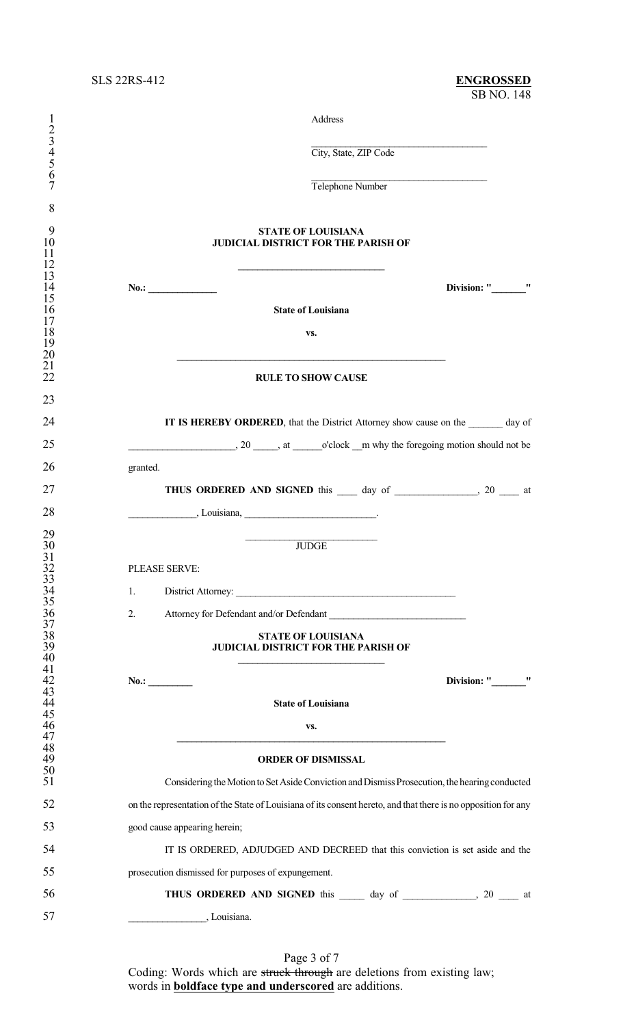| $\mathbf{l}$                                                                 | Address                                                                                                                                                         |
|------------------------------------------------------------------------------|-----------------------------------------------------------------------------------------------------------------------------------------------------------------|
| $\frac{2}{3}$<br>456                                                         | City, State, ZIP Code                                                                                                                                           |
| $\overline{7}$                                                               | Telephone Number                                                                                                                                                |
| 8<br>9<br>10<br>11                                                           | <b>STATE OF LOUISIANA</b><br><b>JUDICIAL DISTRICT FOR THE PARISH OF</b>                                                                                         |
| 12<br>13<br>14<br>15                                                         | Division: " "<br>No.:                                                                                                                                           |
| 16<br>17                                                                     | <b>State of Louisiana</b>                                                                                                                                       |
| 18<br>19<br>20                                                               | VS.                                                                                                                                                             |
| 21<br>22                                                                     | <b>RULE TO SHOW CAUSE</b>                                                                                                                                       |
| 23<br>24                                                                     | IT IS HEREBY ORDERED, that the District Attorney show cause on the day of                                                                                       |
| 25                                                                           | $\ldots$ , 20 $\ldots$ , at $\ldots$ o'clock $\ldots$ why the foregoing motion should not be                                                                    |
| 26                                                                           | granted.                                                                                                                                                        |
| 27                                                                           | THUS ORDERED AND SIGNED this 100 day of 20 to 20 at                                                                                                             |
| 28                                                                           | $\frac{1}{1}$ Louisiana, $\frac{1}{1}$ Louisiana, $\frac{1}{1}$                                                                                                 |
| 29<br>30<br>$31$<br>$32$<br>$33$<br>$34$<br>$35$<br>$36$<br>$37$<br>38<br>39 | <b>JUDGE</b><br>PLEASE SERVE:<br>1.<br>2.<br>Attorney for Defendant and/or Defendant<br><b>STATE OF LOUISIANA</b><br><b>JUDICIAL DISTRICT FOR THE PARISH OF</b> |
| 40<br>41                                                                     |                                                                                                                                                                 |
| 42<br>43                                                                     | Division: " "<br>No.:                                                                                                                                           |
| $\frac{44}{45}$                                                              | <b>State of Louisiana</b>                                                                                                                                       |
| 46<br>47                                                                     | VS.                                                                                                                                                             |
| 48<br>49                                                                     | <b>ORDER OF DISMISSAL</b>                                                                                                                                       |
| 50<br>51                                                                     | Considering the Motion to Set Aside Conviction and Dismiss Prosecution, the hearing conducted                                                                   |
| 52                                                                           | on the representation of the State of Louisiana of its consent hereto, and that there is no opposition for any                                                  |
| 53                                                                           | good cause appearing herein;                                                                                                                                    |
| 54                                                                           | IT IS ORDERED, ADJUDGED AND DECREED that this conviction is set aside and the                                                                                   |
| 55                                                                           | prosecution dismissed for purposes of expungement.                                                                                                              |
| 56                                                                           | THUS ORDERED AND SIGNED this ______ day of ________________, 20 ____ at                                                                                         |
| 57                                                                           | , Louisiana.                                                                                                                                                    |

Page 3 of 7 Coding: Words which are struck through are deletions from existing law; words in **boldface type and underscored** are additions.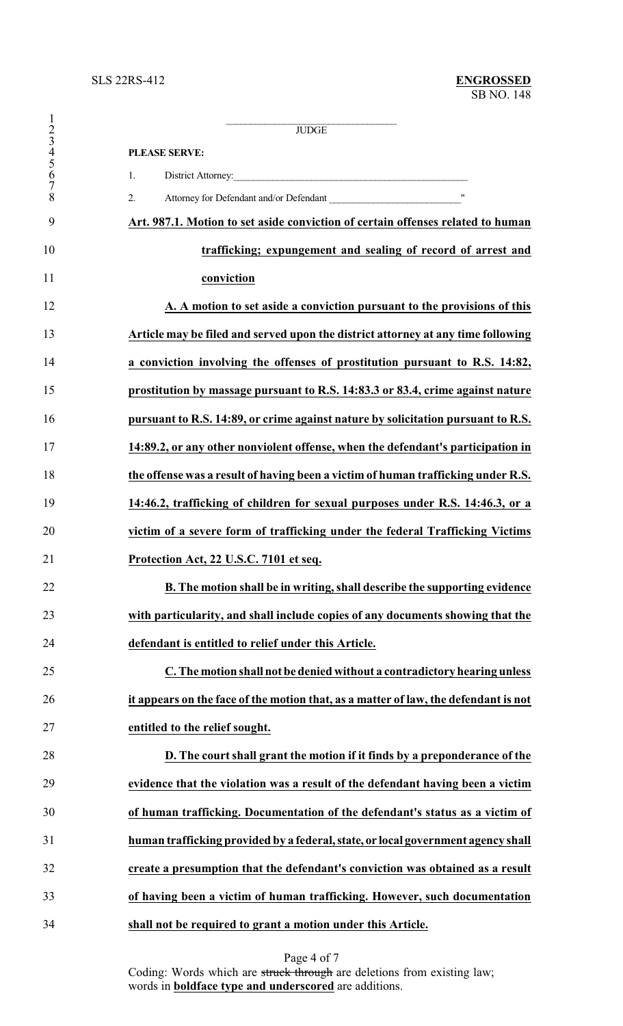|                                     | <b>JUDGE</b>                                                                        |
|-------------------------------------|-------------------------------------------------------------------------------------|
| $\frac{1}{2}$<br>$\frac{3}{4}$<br>5 | <b>PLEASE SERVE:</b>                                                                |
| 6                                   | 1.                                                                                  |
| $\overline{7}$<br>8                 | 2.                                                                                  |
| 9                                   | Art. 987.1. Motion to set aside conviction of certain offenses related to human     |
| 10                                  | trafficking; expungement and sealing of record of arrest and                        |
| 11                                  | conviction                                                                          |
| 12                                  | A. A motion to set aside a conviction pursuant to the provisions of this            |
| 13                                  | Article may be filed and served upon the district attorney at any time following    |
| 14                                  | a conviction involving the offenses of prostitution pursuant to R.S. 14:82,         |
| 15                                  | prostitution by massage pursuant to R.S. 14:83.3 or 83.4, crime against nature      |
| 16                                  | pursuant to R.S. 14:89, or crime against nature by solicitation pursuant to R.S.    |
| 17                                  | 14:89.2, or any other nonviolent offense, when the defendant's participation in     |
| 18                                  | the offense was a result of having been a victim of human trafficking under R.S.    |
| 19                                  | 14:46.2, trafficking of children for sexual purposes under R.S. 14:46.3, or a       |
| 20                                  | victim of a severe form of trafficking under the federal Trafficking Victims        |
| 21                                  | Protection Act, 22 U.S.C. 7101 et seq.                                              |
| 22                                  | B. The motion shall be in writing, shall describe the supporting evidence           |
| 23                                  | with particularity, and shall include copies of any documents showing that the      |
| 24                                  | defendant is entitled to relief under this Article.                                 |
| 25                                  | C. The motion shall not be denied without a contradictory hearing unless            |
| 26                                  | it appears on the face of the motion that, as a matter of law, the defendant is not |
| 27                                  | entitled to the relief sought.                                                      |
| 28                                  | D. The court shall grant the motion if it finds by a preponderance of the           |
| 29                                  | evidence that the violation was a result of the defendant having been a victim      |
| 30                                  | of human trafficking. Documentation of the defendant's status as a victim of        |
| 31                                  | human trafficking provided by a federal, state, or local government agency shall    |
| 32                                  | create a presumption that the defendant's conviction was obtained as a result       |
| 33                                  | of having been a victim of human trafficking. However, such documentation           |
| 34                                  | shall not be required to grant a motion under this Article.                         |

Page 4 of 7

Coding: Words which are struck through are deletions from existing law; words in **boldface type and underscored** are additions.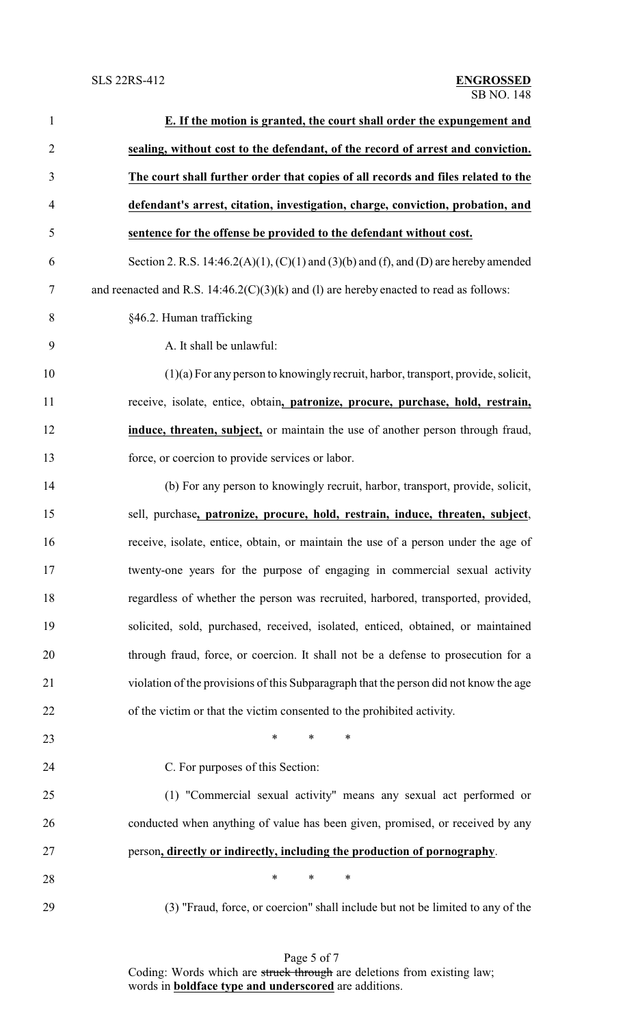| $\mathbf{1}$   | E. If the motion is granted, the court shall order the expungement and                   |
|----------------|------------------------------------------------------------------------------------------|
| $\overline{2}$ | sealing, without cost to the defendant, of the record of arrest and conviction.          |
| 3              | The court shall further order that copies of all records and files related to the        |
| $\overline{4}$ | defendant's arrest, citation, investigation, charge, conviction, probation, and          |
| 5              | sentence for the offense be provided to the defendant without cost.                      |
| 6              | Section 2. R.S. 14:46.2(A)(1), (C)(1) and (3)(b) and (f), and (D) are hereby amended     |
| 7              | and reenacted and R.S. $14:46.2(C)(3)(k)$ and (1) are hereby enacted to read as follows: |
| 8              | §46.2. Human trafficking                                                                 |
| 9              | A. It shall be unlawful:                                                                 |
| 10             | $(1)(a)$ For any person to knowingly recruit, harbor, transport, provide, solicit,       |
| 11             | receive, isolate, entice, obtain, patronize, procure, purchase, hold, restrain,          |
| 12             | induce, threaten, subject, or maintain the use of another person through fraud,          |
| 13             | force, or coercion to provide services or labor.                                         |
| 14             | (b) For any person to knowingly recruit, harbor, transport, provide, solicit,            |
| 15             | sell, purchase, patronize, procure, hold, restrain, induce, threaten, subject,           |
| 16             | receive, isolate, entice, obtain, or maintain the use of a person under the age of       |
| 17             | twenty-one years for the purpose of engaging in commercial sexual activity               |
| 18             | regardless of whether the person was recruited, harbored, transported, provided,         |
| 19             | solicited, sold, purchased, received, isolated, enticed, obtained, or maintained         |
| 20             | through fraud, force, or coercion. It shall not be a defense to prosecution for a        |
| 21             | violation of the provisions of this Subparagraph that the person did not know the age    |
| 22             | of the victim or that the victim consented to the prohibited activity.                   |
| 23             | $\ast$<br>$\ast$<br>$\ast$                                                               |
| 24             | C. For purposes of this Section:                                                         |
| 25             | (1) "Commercial sexual activity" means any sexual act performed or                       |
| 26             | conducted when anything of value has been given, promised, or received by any            |
| 27             | person, directly or indirectly, including the production of pornography.                 |
| 28             | $\ast$<br>∗<br>∗                                                                         |
| 29             | (3) "Fraud, force, or coercion" shall include but not be limited to any of the           |

Page 5 of 7 Coding: Words which are struck through are deletions from existing law; words in **boldface type and underscored** are additions.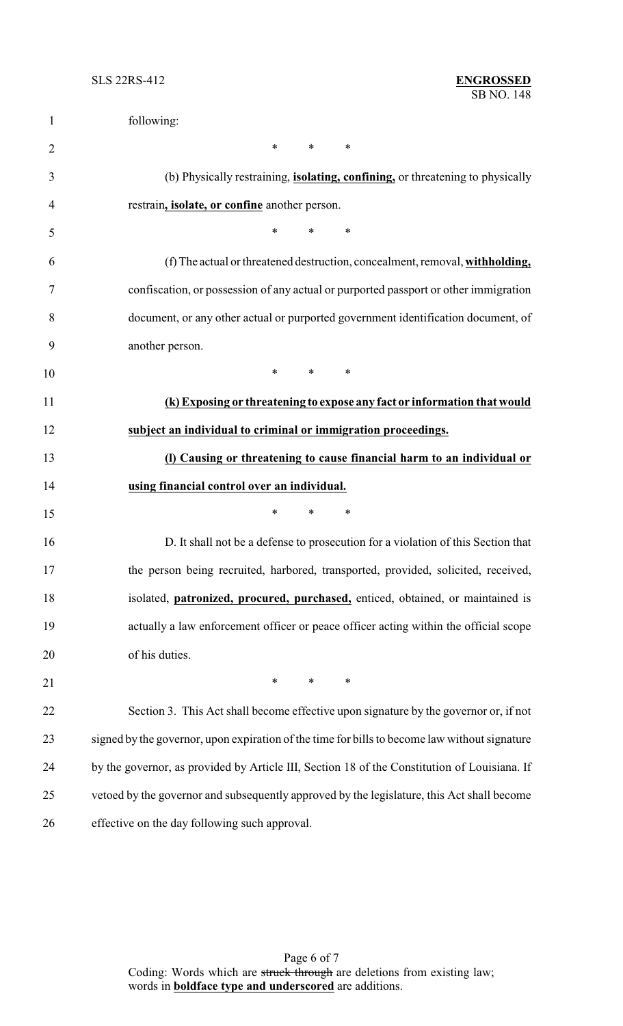| $\mathbf{1}$   | following:                                                                                                                    |
|----------------|-------------------------------------------------------------------------------------------------------------------------------|
| $\overline{2}$ | $*$<br>$*$ and $*$<br>∗                                                                                                       |
| 3              | (b) Physically restraining, <i>isolating, confining</i> , or threatening to physically                                        |
| 4              | restrain, <i>isolate</i> , or confine another person.                                                                         |
| 5              | $\ast$<br>$\ast$<br>$\ast$                                                                                                    |
| 6              | (f) The actual or threatened destruction, concealment, removal, withholding,                                                  |
| 7              | confiscation, or possession of any actual or purported passport or other immigration                                          |
| 8              | document, or any other actual or purported government identification document, of                                             |
| 9              | another person.                                                                                                               |
| 10             | $\ast$<br>$*$ $*$<br>$\ast$                                                                                                   |
| 11             | (k) Exposing or threatening to expose any fact or information that would                                                      |
| 12             | subject an individual to criminal or immigration proceedings.                                                                 |
| 13             | (I) Causing or threatening to cause financial harm to an individual or                                                        |
| 14             | using financial control over an individual.                                                                                   |
| 15             | $\ast$<br>$\ast$<br>∗                                                                                                         |
| 16             | D. It shall not be a defense to prosecution for a violation of this Section that                                              |
| 17             | the person being recruited, harbored, transported, provided, solicited, received,                                             |
| 18             | isolated, <i>patronized</i> , <i>procured</i> , <i>purchased</i> , <i>enticed</i> , <i>obtained</i> , <i>or maintained is</i> |
| 19             | actually a law enforcement officer or peace officer acting within the official scope                                          |
| 20             | of his duties.                                                                                                                |
| 21             | $*$<br>$*$<br>$\ast$                                                                                                          |
| 22             | Section 3. This Act shall become effective upon signature by the governor or, if not                                          |
| 23             | signed by the governor, upon expiration of the time for bills to become law without signature                                 |
| 24             | by the governor, as provided by Article III, Section 18 of the Constitution of Louisiana. If                                  |
| 25             | vetoed by the governor and subsequently approved by the legislature, this Act shall become                                    |
| 26             | effective on the day following such approval.                                                                                 |